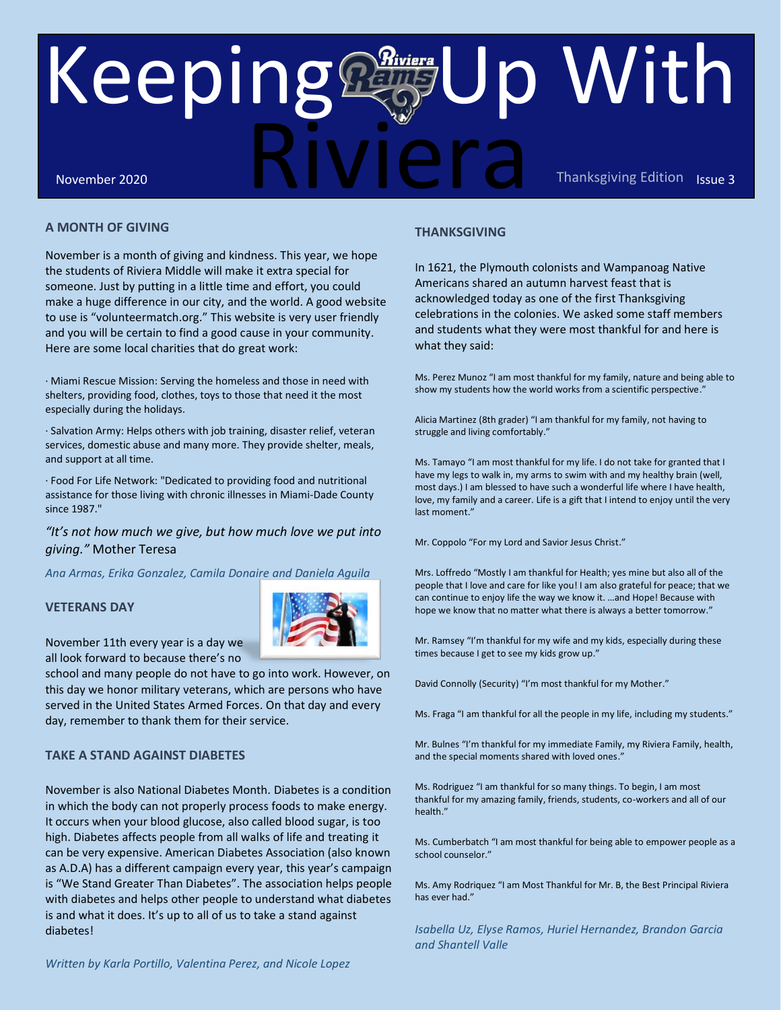# November 2020 **ISSUE 2020** ISSUE 3 Riviera Keeping **Euro** With November 2020<br>A MONTH OF GIVING THANKSGIVING THANKSGIVING

#### **A MONTH OF GIVING**

November is a month of giving and kindness. This year, we hope the students of Riviera Middle will make it extra special for someone. Just by putting in a little time and effort, you could make a huge difference in our city, and the world. A good website to use is "volunteermatch.org." This website is very user friendly and you will be certain to find a good cause in your community. Here are some local charities that do great work: dness. This year, we hope<br>
e it extra special for and effort, you could<br>
the world. A good website<br>
ebsite is very user friendly<br>
ause in your community.

· Miami Rescue Mission: Serving the homeless and those in need with shelters, providing food, clothes, toys to those that need it the most especially during the holidays.

· Salvation Army: Helps others with job training, disaster relief, veteran services, domestic abuse and many more. They provide shelter, meals, and support at all time.

· Food For Life Network: "Dedicated to providing food and nutritional assistance for those living with chronic illnesses in Miami-Dade County since 1987."  

#### *"It's not how much we give, but how much love we put into giving."* Mother Teresa

*Ana Armas, Erika Gonzalez, Camila Donaire and Daniela Aguila*

#### **VETERANS DAY**



November 11th every year is a day we all look forward to because there's no

school and many people do not have to go into work. However, on this day we honor military veterans, which are persons who have served in the United States Armed Forces. On that day and every day, remember to thank them for their service.

#### **TAKE A STAND AGAINST DIABETES**

November is also National Diabetes Month. Diabetes is a condition in which the body can not properly process foods to make energy. It occurs when your blood glucose, also called blood sugar, is too high. Diabetes affects people from all walks of life and treating it can be very expensive. American Diabetes Association (also known as A.D.A) has a different campaign every year, this year's campaign is "We Stand Greater Than Diabetes". The association helps people with diabetes and helps other people to understand what diabetes is and what it does. It's up to all of us to take a stand against diabetes!

### **THANKSGIVING**

In 1621, the Plymouth colonists and Wampanoag Native Americans shared an autumn harvest feast that is acknowledged today as one of the first Thanksgiving celebrations in the colonies. We asked some staff members and students what they were most thankful for and here is what they said:

Ms. Perez Munoz "I am most thankful for my family, nature and being able to show my students how the world works from a scientific perspective."

Alicia Martinez (8th grader) "I am thankful for my family, not having to struggle and living comfortably."

Ms. Tamayo "I am most thankful for my life. I do not take for granted that I have my legs to walk in, my arms to swim with and my healthy brain (well, most days.) I am blessed to have such a wonderful life where I have health, love, my family and a career. Life is a gift that I intend to enjoy until the very last moment."

Mr. Coppolo "For my Lord and Savior Jesus Christ."

Mrs. Loffredo "Mostly I am thankful for Health; yes mine but also all of the people that I love and care for like you! I am also grateful for peace; that we can continue to enjoy life the way we know it. …and Hope! Because with hope we know that no matter what there is always a better tomorrow."

Mr. Ramsey "I'm thankful for my wife and my kids, especially during these times because I get to see my kids grow up."

David Connolly (Security) "I'm most thankful for my Mother."

Ms. Fraga "I am thankful for all the people in my life, including my students."

Mr. Bulnes "I'm thankful for my immediate Family, my Riviera Family, health, and the special moments shared with loved ones."

Ms. Rodriguez "I am thankful for so many things. To begin, I am most thankful for my amazing family, friends, students, co-workers and all of our health."

Ms. Cumberbatch "I am most thankful for being able to empower people as a school counselor."

Ms. Amy Rodriquez "I am Most Thankful for Mr. B, the Best Principal Riviera has ever had."

*Isabella Uz, Elyse Ramos, Huriel Hernandez, Brandon Garcia and Shantell Valle*